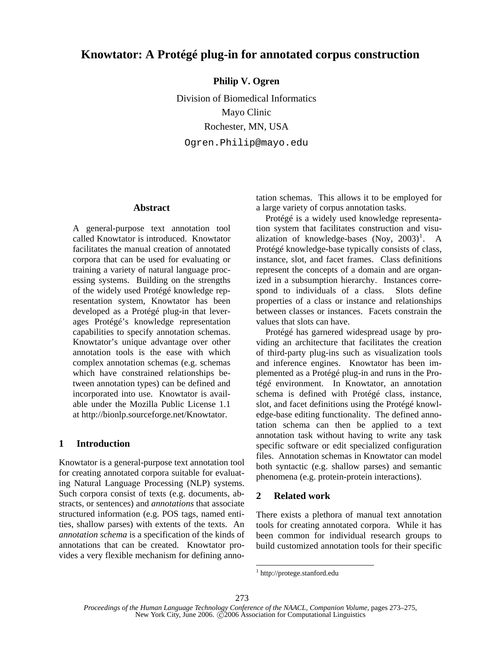# **Knowtator: A Protégé plug-in for annotated corpus construction**

**Philip V. Ogren** 

Division of Biomedical Informatics Mayo Clinic Rochester, MN, USA Ogren.Philip@mayo.edu

#### **Abstract**

A general-purpose text annotation tool called Knowtator is introduced. Knowtator facilitates the manual creation of annotated corpora that can be used for evaluating or training a variety of natural language processing systems. Building on the strengths of the widely used Protégé knowledge representation system, Knowtator has been developed as a Protégé plug-in that leverages Protégé's knowledge representation capabilities to specify annotation schemas. Knowtator's unique advantage over other annotation tools is the ease with which complex annotation schemas (e.g. schemas which have constrained relationships between annotation types) can be defined and incorporated into use. Knowtator is available under the Mozilla Public License 1.1 at http://bionlp.sourceforge.net/Knowtator.

# **1 Introduction**

Knowtator is a general-purpose text annotation tool for creating annotated corpora suitable for evaluating Natural Language Processing (NLP) systems. Such corpora consist of texts (e.g. documents, abstracts, or sentences) and *annotations* that associate structured information (e.g. POS tags, named entities, shallow parses) with extents of the texts. An *annotation schema* is a specification of the kinds of annotations that can be created. Knowtator provides a very flexible mechanism for defining annotation schemas. This allows it to be employed for a large variety of corpus annotation tasks.

Protégé is a widely used knowledge representation system that facilitates construction and visualization of knowledge-bases  $(Noy, 2003)^1$ . A Protégé knowledge-base typically consists of class, instance, slot, and facet frames. Class definitions represent the concepts of a domain and are organized in a subsumption hierarchy. Instances correspond to individuals of a class. Slots define properties of a class or instance and relationships between classes or instances. Facets constrain the values that slots can have.

Protégé has garnered widespread usage by providing an architecture that facilitates the creation of third-party plug-ins such as visualization tools and inference engines. Knowtator has been implemented as a Protégé plug-in and runs in the Protégé environment. In Knowtator, an annotation schema is defined with Protégé class, instance, slot, and facet definitions using the Protégé knowledge-base editing functionality. The defined annotation schema can then be applied to a text annotation task without having to write any task specific software or edit specialized configuration files. Annotation schemas in Knowtator can model both syntactic (e.g. shallow parses) and semantic phenomena (e.g. protein-protein interactions).

## **2 Related work**

There exists a plethora of manual text annotation tools for creating annotated corpora. While it has been common for individual research groups to build customized annotation tools for their specific

 $\overline{a}$ 

<sup>1</sup> http://protege.stanford.edu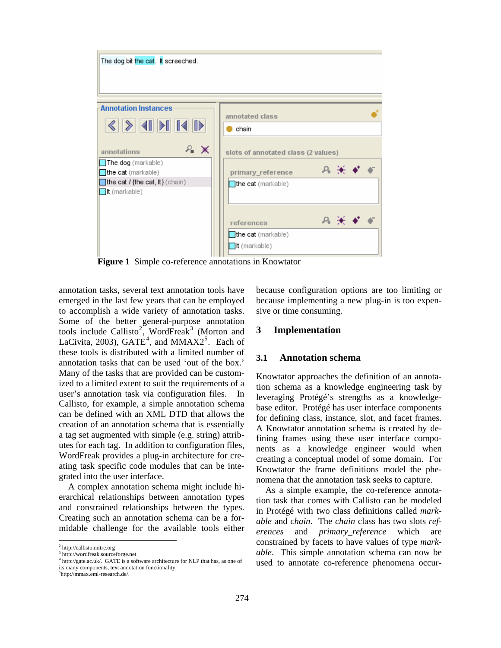

**Figure 1** Simple co-reference annotations in Knowtator

annotation tasks, several text annotation tools have emerged in the last few years that can be employed to accomplish a wide variety of annotation tasks. Some of the better general-purpose annotation tools include Callisto<sup>2</sup>, WordFreak<sup>3</sup> (Morton and LaCivita, 2003),  $GATE<sup>4</sup>$ , and  $MMAX2<sup>5</sup>$ . Each of these tools is distributed with a limited number of annotation tasks that can be used 'out of the box.' Many of the tasks that are provided can be customized to a limited extent to suit the requirements of a user's annotation task via configuration files. In Callisto, for example, a simple annotation schema can be defined with an XML DTD that allows the creation of an annotation schema that is essentially a tag set augmented with simple (e.g. string) attributes for each tag. In addition to configuration files, WordFreak provides a plug-in architecture for creating task specific code modules that can be integrated into the user interface.

A complex annotation schema might include hierarchical relationships between annotation types and constrained relationships between the types. Creating such an annotation schema can be a formidable challenge for the available tools either

l

5 http://mmax.eml-research.de/.

because configuration options are too limiting or because implementing a new plug-in is too expensive or time consuming.

#### **3 Implementation**

### **3.1 Annotation schema**

Knowtator approaches the definition of an annotation schema as a knowledge engineering task by leveraging Protégé's strengths as a knowledgebase editor. Protégé has user interface components for defining class, instance, slot, and facet frames. A Knowtator annotation schema is created by defining frames using these user interface components as a knowledge engineer would when creating a conceptual model of some domain. For Knowtator the frame definitions model the phenomena that the annotation task seeks to capture.

As a simple example, the co-reference annotation task that comes with Callisto can be modeled in Protégé with two class definitions called *markable* and *chain*. The *chain* class has two slots *references* and *primary\_reference* which are constrained by facets to have values of type *markable*. This simple annotation schema can now be used to annotate co-reference phenomena occur-

<sup>2</sup> http://callisto.mitre.org

<sup>3</sup> http://wordfreak.sourceforge.net

<sup>&</sup>lt;sup>4</sup> http://gate.ac.uk/. GATE is a software architecture for NLP that has, as one of its many components, text annotation functionality.